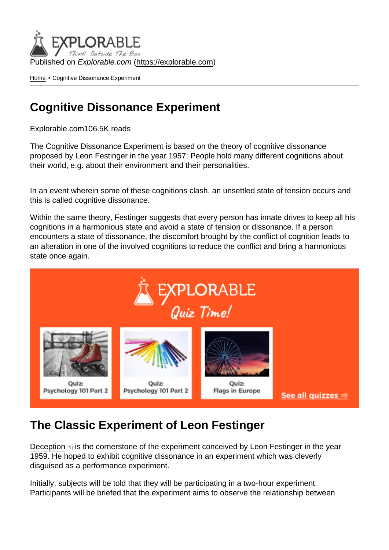Published on Explorable.com (<https://explorable.com>)

[Home](https://explorable.com/) > Cognitive Dissonance Experiment

## Cognitive Dissonance Experiment

Explorable.com106.5K reads

The Cognitive Dissonance Experiment is based on the theory of cognitive dissonance proposed by Leon Festinger in the year 1957: People hold many different cognitions about their world, e.g. about their environment and their personalities.

In an event wherein some of these cognitions clash, an unsettled state of tension occurs and this is called cognitive dissonance.

Within the same theory, Festinger suggests that every person has innate drives to keep all his cognitions in a harmonious state and avoid a state of tension or dissonance. If a person encounters a state of dissonance, the discomfort brought by the conflict of cognition leads to an alteration in one of the involved cognitions to reduce the conflict and bring a harmonious state once again.

## The Classic Experiment of Leon Festinger

[Deception](https://explorable.com/deception-and-research)  $[1]$  is the cornerstone of the experiment conceived by Leon Festinger in the year 1959. He hoped to exhibit cognitive dissonance in an experiment which was cleverly disguised as a performance experiment.

Initially, subjects will be told that they will be participating in a two-hour experiment. Participants will be briefed that the experiment aims to observe the relationship between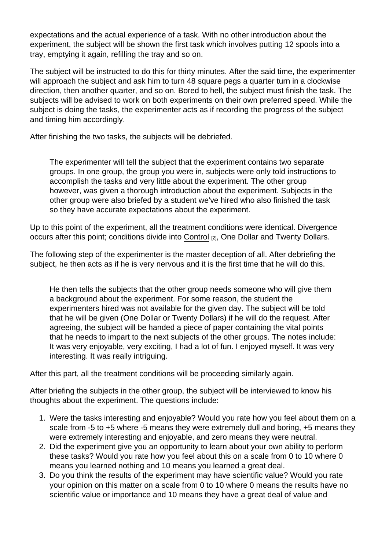expectations and the actual experience of a task. With no other introduction about the experiment, the subject will be shown the first task which involves putting 12 spools into a tray, emptying it again, refilling the tray and so on.

The subject will be instructed to do this for thirty minutes. After the said time, the experimenter will approach the subject and ask him to turn 48 square pegs a quarter turn in a clockwise direction, then another quarter, and so on. Bored to hell, the subject must finish the task. The subjects will be advised to work on both experiments on their own preferred speed. While the subject is doing the tasks, the experimenter acts as if recording the progress of the subject and timing him accordingly.

After finishing the two tasks, the subjects will be debriefed.

The experimenter will tell the subject that the experiment contains two separate groups. In one group, the group you were in, subjects were only told instructions to accomplish the tasks and very little about the experiment. The other group however, was given a thorough introduction about the experiment. Subjects in the other group were also briefed by a student we've hired who also finished the task so they have accurate expectations about the experiment.

Up to this point of the experiment, all the treatment conditions were identical. Divergence occurs after this point; conditions divide into [Control](https://explorable.com/scientific-control-group) [2], One Dollar and Twenty Dollars.

The following step of the experimenter is the master deception of all. After debriefing the subject, he then acts as if he is very nervous and it is the first time that he will do this.

He then tells the subjects that the other group needs someone who will give them a background about the experiment. For some reason, the student the experimenters hired was not available for the given day. The subject will be told that he will be given (One Dollar or Twenty Dollars) if he will do the request. After agreeing, the subject will be handed a piece of paper containing the vital points that he needs to impart to the next subjects of the other groups. The notes include: It was very enjoyable, very exciting, I had a lot of fun. I enjoyed myself. It was very interesting. It was really intriguing.

After this part, all the treatment conditions will be proceeding similarly again.

After briefing the subjects in the other group, the subject will be interviewed to know his thoughts about the experiment. The questions include:

- 1. Were the tasks interesting and enjoyable? Would you rate how you feel about them on a scale from -5 to +5 where -5 means they were extremely dull and boring, +5 means they were extremely interesting and enjoyable, and zero means they were neutral.
- 2. Did the experiment give you an opportunity to learn about your own ability to perform these tasks? Would you rate how you feel about this on a scale from 0 to 10 where 0 means you learned nothing and 10 means you learned a great deal.
- 3. Do you think the results of the experiment may have scientific value? Would you rate your opinion on this matter on a scale from 0 to 10 where 0 means the results have no scientific value or importance and 10 means they have a great deal of value and